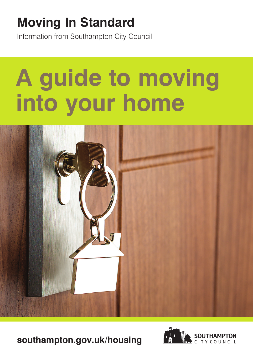# **Moving In Standard**

Information from Southampton City Council

# **A guide to moving into your home**



**southampton.gov.uk/housing** 

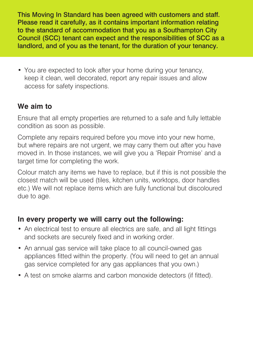This Moving In Standard has been agreed with customers and staff. Please read it carefully, as it contains important information relating to the standard of accommodation that you as a Southampton City Council (SCC) tenant can expect and the responsibilities of SCC as a landlord, and of you as the tenant, for the duration of your tenancy.

• You are expected to look after your home during your tenancy, keep it clean, well decorated, report any repair issues and allow access for safety inspections.

# **We aim to**

Ensure that all empty properties are returned to a safe and fully lettable condition as soon as possible.

Complete any repairs required before you move into your new home, but where repairs are not urgent, we may carry them out after you have moved in. In those instances, we will give you a 'Repair Promise' and a target time for completing the work.

Colour match any items we have to replace, but if this is not possible the closest match will be used (tiles, kitchen units, worktops, door handles etc.) We will not replace items which are fully functional but discoloured due to age.

## **In every property we will carry out the following:**

- An electrical test to ensure all electrics are safe, and all light fittings and sockets are securely fixed and in working order.
- An annual gas service will take place to all council-owned gas appliances fitted within the property. (You will need to get an annual gas service completed for any gas appliances that you own.)
- A test on smoke alarms and carbon monoxide detectors (if fitted).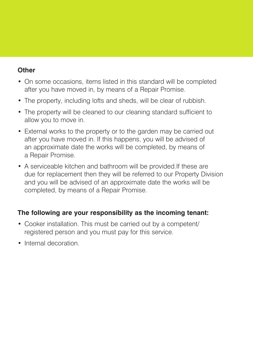#### **Other**

- On some occasions, items listed in this standard will be completed after you have moved in, by means of a Repair Promise.
- The property, including lofts and sheds, will be clear of rubbish.
- The property will be cleaned to our cleaning standard sufficient to allow you to move in.
- External works to the property or to the garden may be carried out after you have moved in. If this happens, you will be advised of an approximate date the works will be completed, by means of a Repair Promise.
- A serviceable kitchen and bathroom will be [provided.If](https://provided.If) these are due for replacement then they will be referred to our Property Division and you will be advised of an approximate date the works will be completed, by means of a Repair Promise.

## **The following are your responsibility as the incoming tenant:**

- Cooker installation. This must be carried out by a competent/ registered person and you must pay for this service.
- Internal decoration.